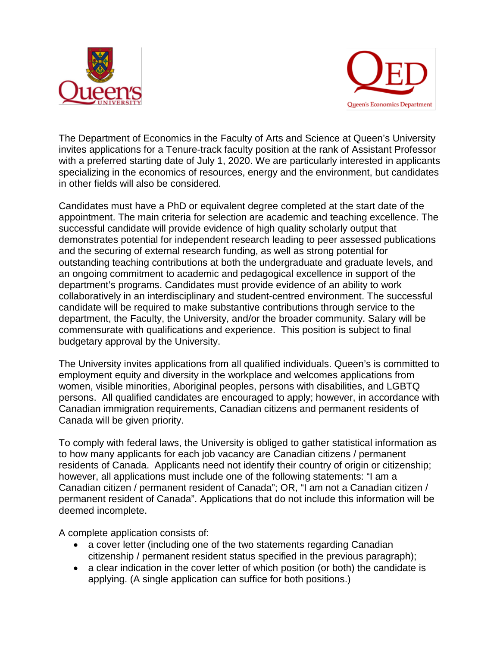



The Department of Economics in the Faculty of Arts and Science at Queen's University invites applications for a Tenure-track faculty position at the rank of Assistant Professor with a preferred starting date of July 1, 2020. We are particularly interested in applicants specializing in the economics of resources, energy and the environment, but candidates in other fields will also be considered.

Candidates must have a PhD or equivalent degree completed at the start date of the appointment. The main criteria for selection are academic and teaching excellence. The successful candidate will provide evidence of high quality scholarly output that demonstrates potential for independent research leading to peer assessed publications and the securing of external research funding, as well as strong potential for outstanding teaching contributions at both the undergraduate and graduate levels, and an ongoing commitment to academic and pedagogical excellence in support of the department's programs. Candidates must provide evidence of an ability to work collaboratively in an interdisciplinary and student-centred environment. The successful candidate will be required to make substantive contributions through service to the department, the Faculty, the University, and/or the broader community. Salary will be commensurate with qualifications and experience. This position is subject to final budgetary approval by the University.

The University invites applications from all qualified individuals. Queen's is committed to employment equity and diversity in the workplace and welcomes applications from women, visible minorities, Aboriginal peoples, persons with disabilities, and LGBTQ persons. All qualified candidates are encouraged to apply; however, in accordance with Canadian immigration requirements, Canadian citizens and permanent residents of Canada will be given priority.

To comply with federal laws, the University is obliged to gather statistical information as to how many applicants for each job vacancy are Canadian citizens / permanent residents of Canada. Applicants need not identify their country of origin or citizenship; however, all applications must include one of the following statements: "I am a Canadian citizen / permanent resident of Canada"; OR, "I am not a Canadian citizen / permanent resident of Canada". Applications that do not include this information will be deemed incomplete.

A complete application consists of:

- a cover letter (including one of the two statements regarding Canadian citizenship / permanent resident status specified in the previous paragraph);
- a clear indication in the cover letter of which position (or both) the candidate is applying. (A single application can suffice for both positions.)